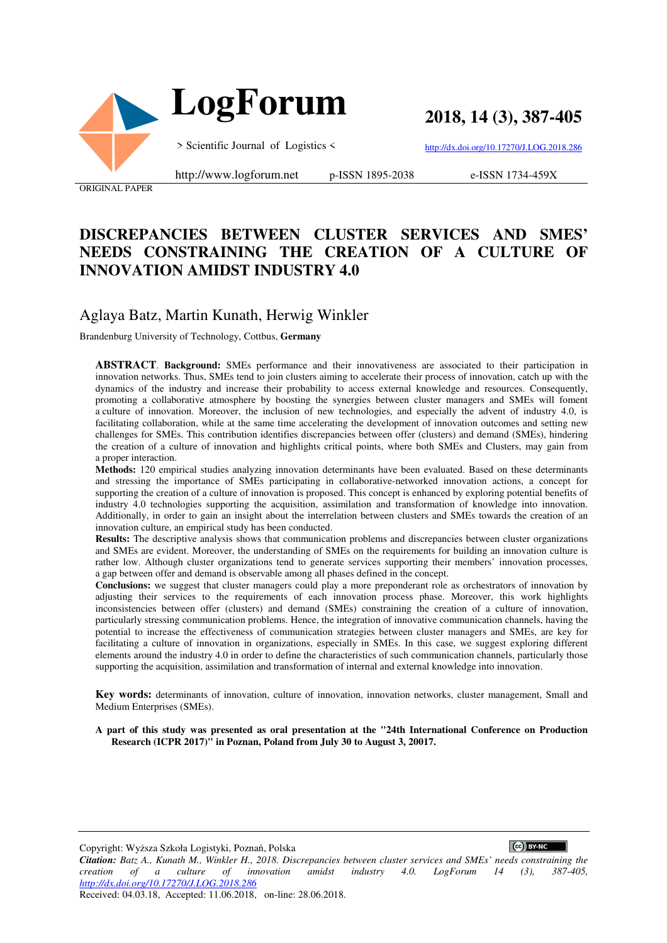

 **LogForum**

**2018, 14 (3), 387-405**

> Scientific Journal of Logistics <

http://dx.doi.org/10.17270/J.LOG.2018.286

ORIGINAL PAPER

http://www.logforum.net p-ISSN 1895-2038

e-ISSN 1734-459X

# **DISCREPANCIES BETWEEN CLUSTER SERVICES AND SMES' NEEDS CONSTRAINING THE CREATION OF A CULTURE OF INNOVATION AMIDST INDUSTRY 4.0**

# Aglaya Batz, Martin Kunath, Herwig Winkler

Brandenburg University of Technology, Cottbus, **Germany**

**ABSTRACT**. **Background:** SMEs performance and their innovativeness are associated to their participation in innovation networks. Thus, SMEs tend to join clusters aiming to accelerate their process of innovation, catch up with the dynamics of the industry and increase their probability to access external knowledge and resources. Consequently, promoting a collaborative atmosphere by boosting the synergies between cluster managers and SMEs will foment a culture of innovation. Moreover, the inclusion of new technologies, and especially the advent of industry 4.0, is facilitating collaboration, while at the same time accelerating the development of innovation outcomes and setting new challenges for SMEs. This contribution identifies discrepancies between offer (clusters) and demand (SMEs), hindering the creation of a culture of innovation and highlights critical points, where both SMEs and Clusters, may gain from a proper interaction.

**Methods:** 120 empirical studies analyzing innovation determinants have been evaluated. Based on these determinants and stressing the importance of SMEs participating in collaborative-networked innovation actions, a concept for supporting the creation of a culture of innovation is proposed. This concept is enhanced by exploring potential benefits of industry 4.0 technologies supporting the acquisition, assimilation and transformation of knowledge into innovation. Additionally, in order to gain an insight about the interrelation between clusters and SMEs towards the creation of an innovation culture, an empirical study has been conducted.

**Results:** The descriptive analysis shows that communication problems and discrepancies between cluster organizations and SMEs are evident. Moreover, the understanding of SMEs on the requirements for building an innovation culture is rather low. Although cluster organizations tend to generate services supporting their members' innovation processes, a gap between offer and demand is observable among all phases defined in the concept.

**Conclusions:** we suggest that cluster managers could play a more preponderant role as orchestrators of innovation by adjusting their services to the requirements of each innovation process phase. Moreover, this work highlights inconsistencies between offer (clusters) and demand (SMEs) constraining the creation of a culture of innovation, particularly stressing communication problems. Hence, the integration of innovative communication channels, having the potential to increase the effectiveness of communication strategies between cluster managers and SMEs, are key for facilitating a culture of innovation in organizations, especially in SMEs. In this case, we suggest exploring different elements around the industry 4.0 in order to define the characteristics of such communication channels, particularly those supporting the acquisition, assimilation and transformation of internal and external knowledge into innovation.

**Key words:** determinants of innovation, culture of innovation, innovation networks, cluster management, Small and Medium Enterprises (SMEs).

**A part of this study was presented as oral presentation at the "24th International Conference on Production Research (ICPR 2017)" in Poznan, Poland from July 30 to August 3, 20017.** 

Copyright: Wyższa Szkoła Logistyki, Poznań, Polska

 $\left($   $\right)$  BY-NC

*Citation: Batz A., Kunath M., Winkler H., 2018. Discrepancies between cluster services and SMEs' needs constraining the creation of a culture of innovation amidst industry 4.0. LogForum 14 (3), 387-405, http://dx.doi.org/10.17270/J.LOG.2018.286* 

Received: 04.03.18, Accepted: 11.06.2018, on-line: 28.06.2018.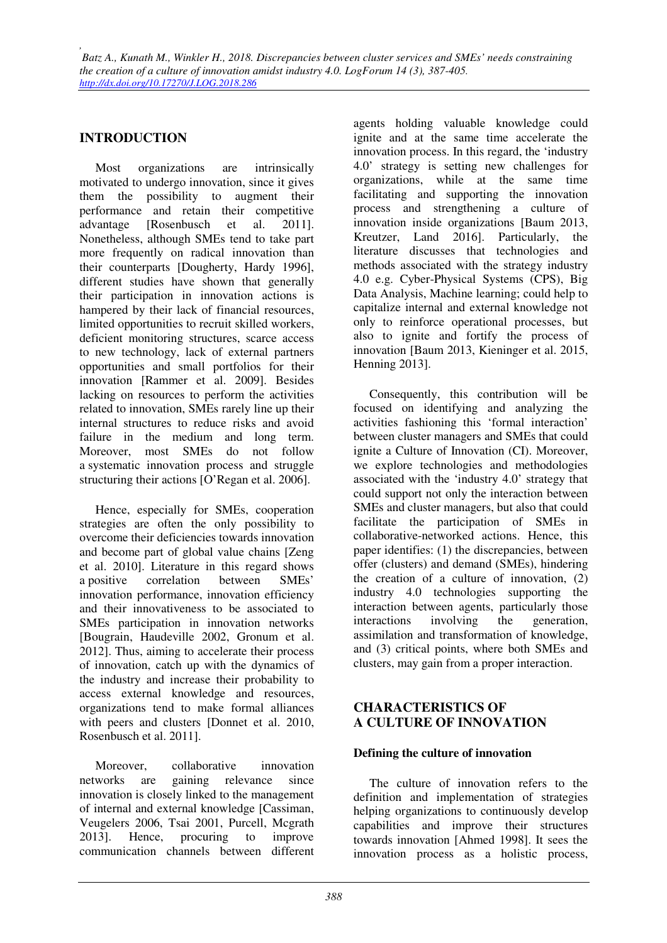# **INTRODUCTION**

Most organizations are intrinsically motivated to undergo innovation, since it gives them the possibility to augment their performance and retain their competitive advantage [Rosenbusch et al. 2011]. Nonetheless, although SMEs tend to take part more frequently on radical innovation than their counterparts [Dougherty, Hardy 1996], different studies have shown that generally their participation in innovation actions is hampered by their lack of financial resources, limited opportunities to recruit skilled workers, deficient monitoring structures, scarce access to new technology, lack of external partners opportunities and small portfolios for their innovation [Rammer et al. 2009]. Besides lacking on resources to perform the activities related to innovation, SMEs rarely line up their internal structures to reduce risks and avoid failure in the medium and long term. Moreover, most SMEs do not follow a systematic innovation process and struggle structuring their actions [O'Regan et al. 2006].

Hence, especially for SMEs, cooperation strategies are often the only possibility to overcome their deficiencies towards innovation and become part of global value chains [Zeng et al. 2010]. Literature in this regard shows a positive correlation between SMEs' innovation performance, innovation efficiency and their innovativeness to be associated to SMEs participation in innovation networks [Bougrain, Haudeville 2002, Gronum et al. 2012]. Thus, aiming to accelerate their process of innovation, catch up with the dynamics of the industry and increase their probability to access external knowledge and resources, organizations tend to make formal alliances with peers and clusters [Donnet et al. 2010, Rosenbusch et al. 2011].

Moreover, collaborative innovation networks are gaining relevance since innovation is closely linked to the management of internal and external knowledge [Cassiman, Veugelers 2006, Tsai 2001, Purcell, Mcgrath 2013]. Hence, procuring to improve communication channels between different agents holding valuable knowledge could ignite and at the same time accelerate the innovation process. In this regard, the 'industry 4.0' strategy is setting new challenges for organizations, while at the same time facilitating and supporting the innovation process and strengthening a culture of innovation inside organizations [Baum 2013, Kreutzer, Land 2016]. Particularly, the literature discusses that technologies and methods associated with the strategy industry 4.0 e.g. Cyber-Physical Systems (CPS), Big Data Analysis, Machine learning; could help to capitalize internal and external knowledge not only to reinforce operational processes, but also to ignite and fortify the process of innovation [Baum 2013, Kieninger et al. 2015, Henning 2013].

Consequently, this contribution will be focused on identifying and analyzing the activities fashioning this 'formal interaction' between cluster managers and SMEs that could ignite a Culture of Innovation (CI). Moreover, we explore technologies and methodologies associated with the 'industry 4.0' strategy that could support not only the interaction between SMEs and cluster managers, but also that could facilitate the participation of SMEs in collaborative-networked actions. Hence, this paper identifies: (1) the discrepancies, between offer (clusters) and demand (SMEs), hindering the creation of a culture of innovation, (2) industry 4.0 technologies supporting the interaction between agents, particularly those interactions involving the generation, assimilation and transformation of knowledge, and (3) critical points, where both SMEs and clusters, may gain from a proper interaction.

# **CHARACTERISTICS OF A CULTURE OF INNOVATION**

## **Defining the culture of innovation**

The culture of innovation refers to the definition and implementation of strategies helping organizations to continuously develop capabilities and improve their structures towards innovation [Ahmed 1998]. It sees the innovation process as a holistic process,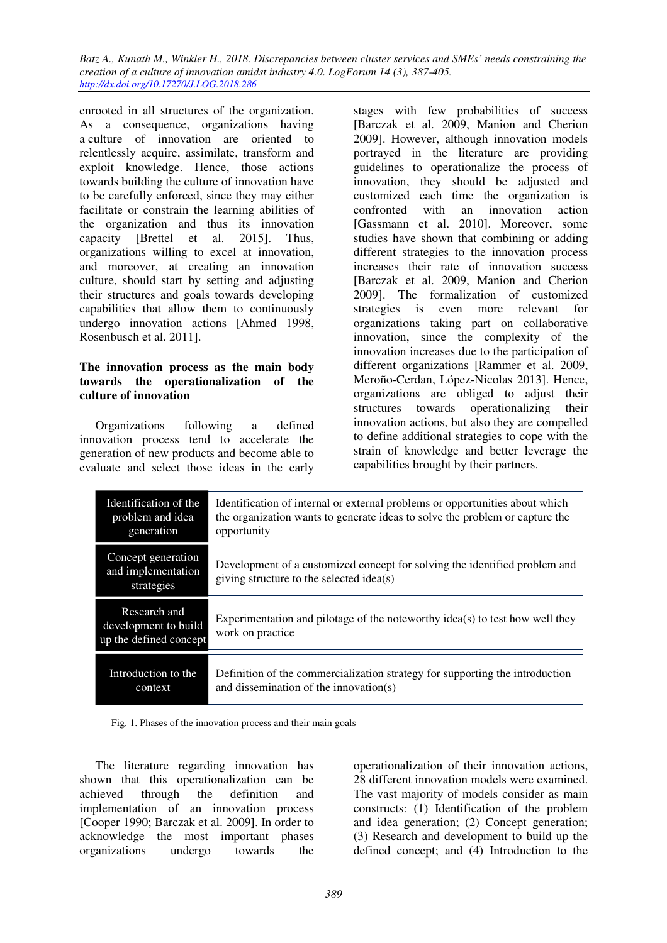enrooted in all structures of the organization. As a consequence, organizations having a culture of innovation are oriented to relentlessly acquire, assimilate, transform and exploit knowledge. Hence, those actions towards building the culture of innovation have to be carefully enforced, since they may either facilitate or constrain the learning abilities of the organization and thus its innovation capacity [Brettel et al. 2015]. Thus, organizations willing to excel at innovation, and moreover, at creating an innovation culture, should start by setting and adjusting their structures and goals towards developing capabilities that allow them to continuously undergo innovation actions [Ahmed 1998, Rosenbusch et al. 2011].

#### **The innovation process as the main body towards the operationalization of the culture of innovation**

Organizations following a defined innovation process tend to accelerate the generation of new products and become able to evaluate and select those ideas in the early

stages with few probabilities of success [Barczak et al. 2009, Manion and Cherion 2009]. However, although innovation models portrayed in the literature are providing guidelines to operationalize the process of innovation, they should be adjusted and customized each time the organization is confronted with an innovation action [Gassmann et al. 2010]. Moreover, some studies have shown that combining or adding different strategies to the innovation process increases their rate of innovation success [Barczak et al. 2009, Manion and Cherion 2009]. The formalization of customized strategies is even more relevant for organizations taking part on collaborative innovation, since the complexity of the innovation increases due to the participation of different organizations [Rammer et al. 2009, Meroño-Cerdan, López-Nicolas 2013]. Hence, organizations are obliged to adjust their structures towards operationalizing their innovation actions, but also they are compelled to define additional strategies to cope with the strain of knowledge and better leverage the capabilities brought by their partners.

| Identification of the                                          | Identification of internal or external problems or opportunities about which                                           |
|----------------------------------------------------------------|------------------------------------------------------------------------------------------------------------------------|
| problem and idea                                               | the organization wants to generate ideas to solve the problem or capture the                                           |
| generation                                                     | opportunity                                                                                                            |
| Concept generation<br>and implementation<br>strategies         | Development of a customized concept for solving the identified problem and<br>giving structure to the selected idea(s) |
| Research and<br>development to build<br>up the defined concept | Experimentation and pilotage of the noteworthy idea(s) to test how well they<br>work on practice                       |
| Introduction to the                                            | Definition of the commercialization strategy for supporting the introduction                                           |
| context                                                        | and dissemination of the innovation(s)                                                                                 |

Fig. 1. Phases of the innovation process and their main goals

The literature regarding innovation has shown that this operationalization can be achieved through the definition and achieved through the definition implementation of an innovation process [Cooper 1990; Barczak et al. 2009]. In order to acknowledge the most important phases organizations undergo towards the

operationalization of their innovation actions, 28 different innovation models were examined. The vast majority of models consider as main constructs: (1) Identification of the problem and idea generation; (2) Concept generation; (3) Research and development to build up the defined concept; and (4) Introduction to the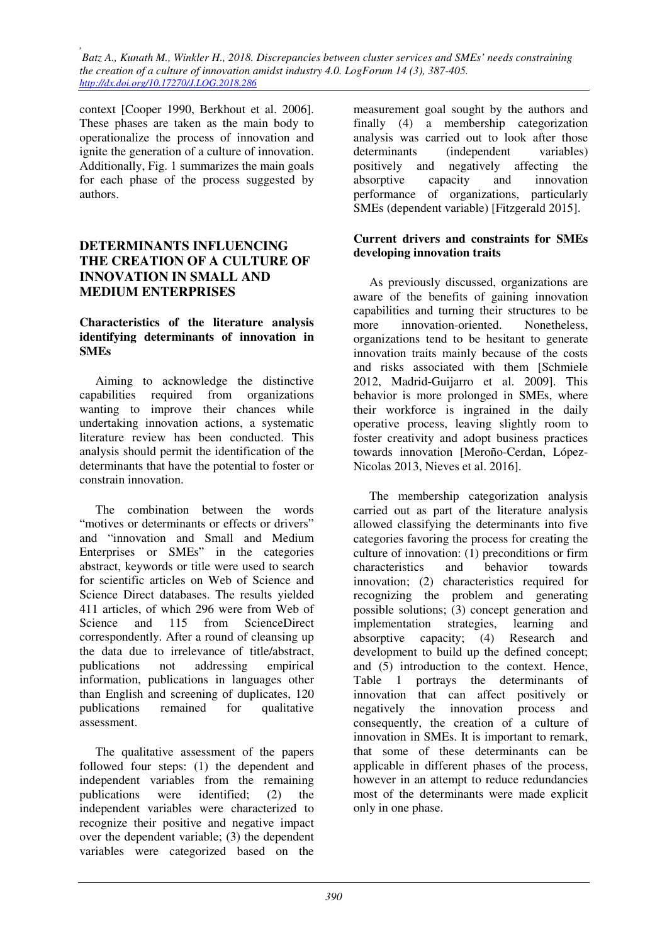context [Cooper 1990, Berkhout et al. 2006]. These phases are taken as the main body to operationalize the process of innovation and ignite the generation of a culture of innovation. Additionally, Fig. 1 summarizes the main goals for each phase of the process suggested by authors.

# **DETERMINANTS INFLUENCING THE CREATION OF A CULTURE OF INNOVATION IN SMALL AND MEDIUM ENTERPRISES**

#### **Characteristics of the literature analysis identifying determinants of innovation in SMEs**

Aiming to acknowledge the distinctive capabilities required from organizations wanting to improve their chances while undertaking innovation actions, a systematic literature review has been conducted. This analysis should permit the identification of the determinants that have the potential to foster or constrain innovation.

The combination between the words "motives or determinants or effects or drivers" and "innovation and Small and Medium Enterprises or SMEs" in the categories abstract, keywords or title were used to search for scientific articles on Web of Science and Science Direct databases. The results yielded 411 articles, of which 296 were from Web of Science and 115 from ScienceDirect correspondently. After a round of cleansing up the data due to irrelevance of title/abstract, publications not addressing empirical information, publications in languages other than English and screening of duplicates, 120 publications remained for qualitative assessment.

The qualitative assessment of the papers followed four steps: (1) the dependent and independent variables from the remaining publications were identified; (2) the independent variables were characterized to recognize their positive and negative impact over the dependent variable; (3) the dependent variables were categorized based on the

measurement goal sought by the authors and finally (4) a membership categorization analysis was carried out to look after those determinants (independent variables) positively and negatively affecting the<br>absorptive capacity and innovation absorptive capacity and innovation performance of organizations, particularly SMEs (dependent variable) [Fitzgerald 2015].

#### **Current drivers and constraints for SMEs developing innovation traits**

As previously discussed, organizations are aware of the benefits of gaining innovation capabilities and turning their structures to be more innovation-oriented. Nonetheless, organizations tend to be hesitant to generate innovation traits mainly because of the costs and risks associated with them [Schmiele 2012, Madrid-Guijarro et al. 2009]. This behavior is more prolonged in SMEs, where their workforce is ingrained in the daily operative process, leaving slightly room to foster creativity and adopt business practices towards innovation [Meroño-Cerdan, López-Nicolas 2013, Nieves et al. 2016].

The membership categorization analysis carried out as part of the literature analysis allowed classifying the determinants into five categories favoring the process for creating the culture of innovation: (1) preconditions or firm characteristics and behavior towards innovation; (2) characteristics required for recognizing the problem and generating possible solutions; (3) concept generation and implementation strategies, learning and absorptive capacity; (4) Research and development to build up the defined concept; and (5) introduction to the context. Hence, Table 1 portrays the determinants of innovation that can affect positively or negatively the innovation process and consequently, the creation of a culture of innovation in SMEs. It is important to remark, that some of these determinants can be applicable in different phases of the process, however in an attempt to reduce redundancies most of the determinants were made explicit only in one phase.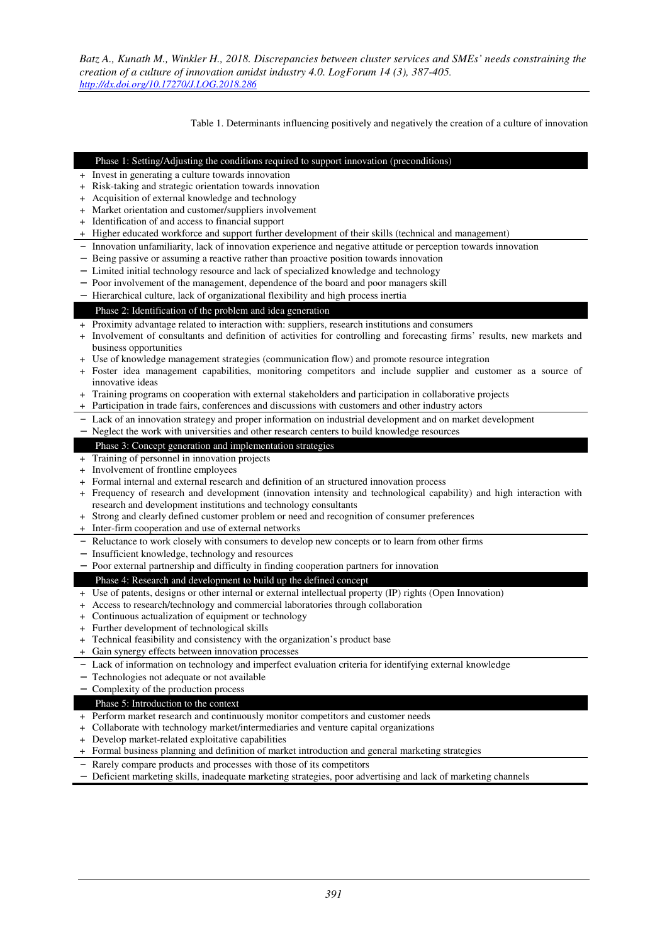Table 1. Determinants influencing positively and negatively the creation of a culture of innovation

#### Phase 1: Setting/Adjusting the conditions required to support innovation (preconditions)

- + Invest in generating a culture towards innovation
- + Risk-taking and strategic orientation towards innovation
- + Acquisition of external knowledge and technology
- + Market orientation and customer/suppliers involvement
- + Identification of and access to financial support
- + Higher educated workforce and support further development of their skills (technical and management)
- Innovation unfamiliarity, lack of innovation experience and negative attitude or perception towards innovation
- − Being passive or assuming a reactive rather than proactive position towards innovation
- − Limited initial technology resource and lack of specialized knowledge and technology
- Poor involvement of the management, dependence of the board and poor managers skill

− Hierarchical culture, lack of organizational flexibility and high process inertia

#### Phase 2: Identification of the problem and idea generation

- + Proximity advantage related to interaction with: suppliers, research institutions and consumers
- + Involvement of consultants and definition of activities for controlling and forecasting firms' results, new markets and business opportunities
- + Use of knowledge management strategies (communication flow) and promote resource integration
- + Foster idea management capabilities, monitoring competitors and include supplier and customer as a source of innovative ideas
- + Training programs on cooperation with external stakeholders and participation in collaborative projects
- + Participation in trade fairs, conferences and discussions with customers and other industry actors
- − Lack of an innovation strategy and proper information on industrial development and on market development
- − Neglect the work with universities and other research centers to build knowledge resources

#### Phase 3: Concept generation and implementation strategies

- + Training of personnel in innovation projects
- + Involvement of frontline employees
- + Formal internal and external research and definition of an structured innovation process
- + Frequency of research and development (innovation intensity and technological capability) and high interaction with research and development institutions and technology consultants
- + Strong and clearly defined customer problem or need and recognition of consumer preferences
- + Inter-firm cooperation and use of external networks
- Reluctance to work closely with consumers to develop new concepts or to learn from other firms
- − Insufficient knowledge, technology and resources
- − Poor external partnership and difficulty in finding cooperation partners for innovation

#### Phase 4: Research and development to build up the defined concept

- + Use of patents, designs or other internal or external intellectual property (IP) rights (Open Innovation)
- + Access to research/technology and commercial laboratories through collaboration
- + Continuous actualization of equipment or technology
- + Further development of technological skills
- + Technical feasibility and consistency with the organization's product base
- + Gain synergy effects between innovation processes
- Lack of information on technology and imperfect evaluation criteria for identifying external knowledge
- − Technologies not adequate or not available

#### − Complexity of the production process

#### Phase 5: Introduction to the context

- + Perform market research and continuously monitor competitors and customer needs
- + Collaborate with technology market/intermediaries and venture capital organizations
- + Develop market-related exploitative capabilities
- + Formal business planning and definition of market introduction and general marketing strategies
- − Rarely compare products and processes with those of its competitors
- − Deficient marketing skills, inadequate marketing strategies, poor advertising and lack of marketing channels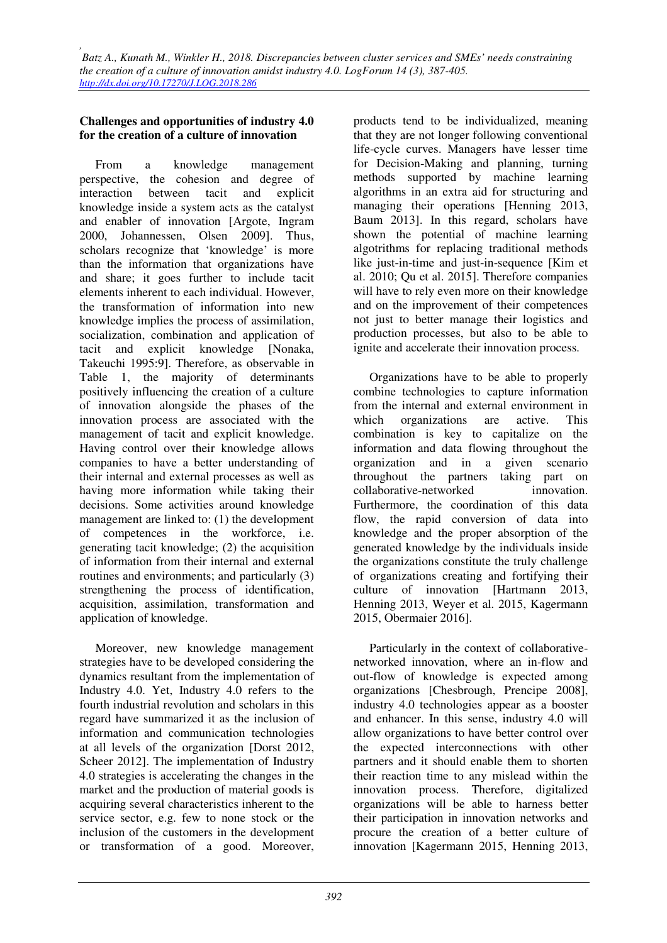## **Challenges and opportunities of industry 4.0 for the creation of a culture of innovation**

From a knowledge management perspective, the cohesion and degree of interaction between tacit and explicit knowledge inside a system acts as the catalyst and enabler of innovation [Argote, Ingram 2000, Johannessen, Olsen 2009]. Thus, scholars recognize that 'knowledge' is more than the information that organizations have and share; it goes further to include tacit elements inherent to each individual. However, the transformation of information into new knowledge implies the process of assimilation, socialization, combination and application of tacit and explicit knowledge [Nonaka, Takeuchi 1995:9]. Therefore, as observable in Table 1, the majority of determinants positively influencing the creation of a culture of innovation alongside the phases of the innovation process are associated with the management of tacit and explicit knowledge. Having control over their knowledge allows companies to have a better understanding of their internal and external processes as well as having more information while taking their decisions. Some activities around knowledge management are linked to: (1) the development of competences in the workforce, i.e. generating tacit knowledge; (2) the acquisition of information from their internal and external routines and environments; and particularly (3) strengthening the process of identification, acquisition, assimilation, transformation and application of knowledge.

Moreover, new knowledge management strategies have to be developed considering the dynamics resultant from the implementation of Industry 4.0. Yet, Industry 4.0 refers to the fourth industrial revolution and scholars in this regard have summarized it as the inclusion of information and communication technologies at all levels of the organization [Dorst 2012, Scheer 2012]. The implementation of Industry 4.0 strategies is accelerating the changes in the market and the production of material goods is acquiring several characteristics inherent to the service sector, e.g. few to none stock or the inclusion of the customers in the development or transformation of a good. Moreover,

products tend to be individualized, meaning that they are not longer following conventional life-cycle curves. Managers have lesser time for Decision-Making and planning, turning methods supported by machine learning algorithms in an extra aid for structuring and managing their operations [Henning 2013, Baum 2013]. In this regard, scholars have shown the potential of machine learning algotrithms for replacing traditional methods like just-in-time and just-in-sequence [Kim et al. 2010; Qu et al. 2015]. Therefore companies will have to rely even more on their knowledge and on the improvement of their competences not just to better manage their logistics and production processes, but also to be able to ignite and accelerate their innovation process.

Organizations have to be able to properly combine technologies to capture information from the internal and external environment in which organizations are active. This combination is key to capitalize on the information and data flowing throughout the organization and in a given scenario throughout the partners taking part on collaborative-networked innovation. Furthermore, the coordination of this data flow, the rapid conversion of data into knowledge and the proper absorption of the generated knowledge by the individuals inside the organizations constitute the truly challenge of organizations creating and fortifying their culture of innovation [Hartmann 2013, Henning 2013, Weyer et al. 2015, Kagermann 2015, Obermaier 2016].

Particularly in the context of collaborativenetworked innovation, where an in-flow and out-flow of knowledge is expected among organizations [Chesbrough, Prencipe 2008], industry 4.0 technologies appear as a booster and enhancer. In this sense, industry 4.0 will allow organizations to have better control over the expected interconnections with other partners and it should enable them to shorten their reaction time to any mislead within the innovation process. Therefore, digitalized organizations will be able to harness better their participation in innovation networks and procure the creation of a better culture of innovation [Kagermann 2015, Henning 2013,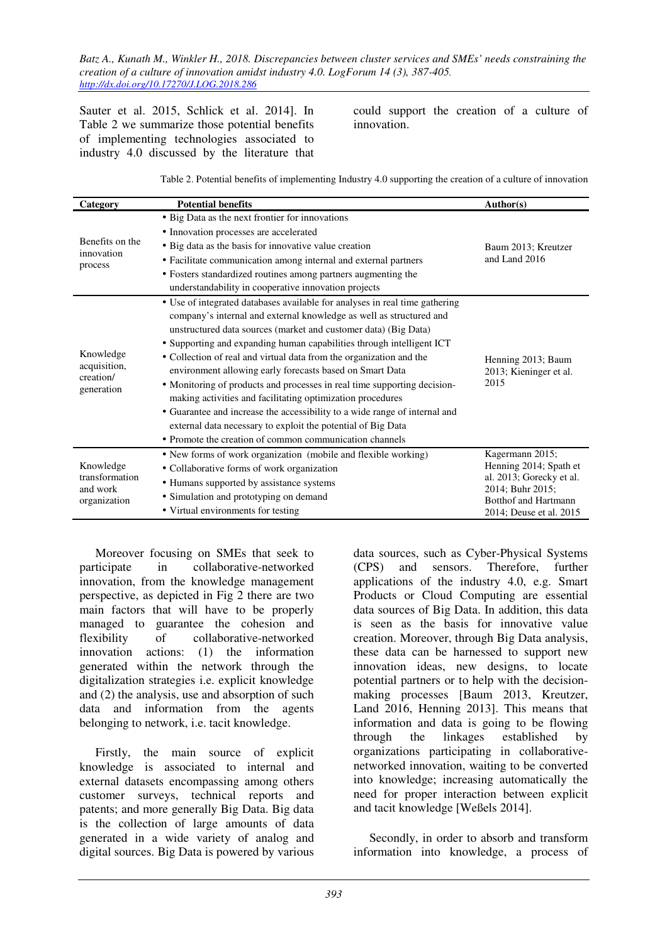Sauter et al. 2015, Schlick et al. 2014]. In Table 2 we summarize those potential benefits of implementing technologies associated to industry 4.0 discussed by the literature that

could support the creation of a culture of innovation.

| Category                                                | <b>Potential benefits</b>                                                   | Author(s)                                    |  |
|---------------------------------------------------------|-----------------------------------------------------------------------------|----------------------------------------------|--|
| Benefits on the<br>innovation<br>process                | • Big Data as the next frontier for innovations                             |                                              |  |
|                                                         | • Innovation processes are accelerated                                      | Baum 2013; Kreutzer                          |  |
|                                                         | • Big data as the basis for innovative value creation                       |                                              |  |
|                                                         | • Facilitate communication among internal and external partners             | and Land 2016                                |  |
|                                                         | • Fosters standardized routines among partners augmenting the               |                                              |  |
|                                                         | understandability in cooperative innovation projects                        |                                              |  |
| Knowledge<br>acquisition,<br>creation/<br>generation    | • Use of integrated databases available for analyses in real time gathering |                                              |  |
|                                                         | company's internal and external knowledge as well as structured and         |                                              |  |
|                                                         | unstructured data sources (market and customer data) (Big Data)             | Henning 2013; Baum                           |  |
|                                                         | • Supporting and expanding human capabilities through intelligent ICT       |                                              |  |
|                                                         | • Collection of real and virtual data from the organization and the         |                                              |  |
|                                                         | environment allowing early forecasts based on Smart Data                    | 2013; Kieninger et al.<br>2015               |  |
|                                                         | • Monitoring of products and processes in real time supporting decision-    |                                              |  |
|                                                         | making activities and facilitating optimization procedures                  |                                              |  |
|                                                         | • Guarantee and increase the accessibility to a wide range of internal and  |                                              |  |
|                                                         | external data necessary to exploit the potential of Big Data                |                                              |  |
|                                                         | • Promote the creation of common communication channels                     |                                              |  |
| Knowledge<br>transformation<br>and work<br>organization | • New forms of work organization (mobile and flexible working)              | Kagermann 2015;                              |  |
|                                                         | • Collaborative forms of work organization                                  | Henning 2014; Spath et                       |  |
|                                                         | • Humans supported by assistance systems                                    | al. 2013; Gorecky et al.<br>2014; Buhr 2015; |  |
|                                                         | • Simulation and prototyping on demand                                      | <b>Botthof and Hartmann</b>                  |  |
|                                                         | • Virtual environments for testing                                          | 2014; Deuse et al. 2015                      |  |

Moreover focusing on SMEs that seek to participate in collaborative-networked innovation, from the knowledge management perspective, as depicted in Fig 2 there are two main factors that will have to be properly managed to guarantee the cohesion and flexibility of collaborative-networked innovation actions: (1) the information generated within the network through the digitalization strategies i.e. explicit knowledge and (2) the analysis, use and absorption of such data and information from the agents belonging to network, i.e. tacit knowledge.

Firstly, the main source of explicit knowledge is associated to internal and external datasets encompassing among others customer surveys, technical reports and patents; and more generally Big Data. Big data is the collection of large amounts of data generated in a wide variety of analog and digital sources. Big Data is powered by various data sources, such as Cyber-Physical Systems (CPS) and sensors. Therefore, further applications of the industry 4.0, e.g. Smart Products or Cloud Computing are essential data sources of Big Data. In addition, this data is seen as the basis for innovative value creation. Moreover, through Big Data analysis, these data can be harnessed to support new innovation ideas, new designs, to locate potential partners or to help with the decisionmaking processes [Baum 2013, Kreutzer, Land 2016, Henning 2013]. This means that information and data is going to be flowing through the linkages established by organizations participating in collaborativenetworked innovation, waiting to be converted into knowledge; increasing automatically the need for proper interaction between explicit and tacit knowledge [Weßels 2014].

Secondly, in order to absorb and transform information into knowledge, a process of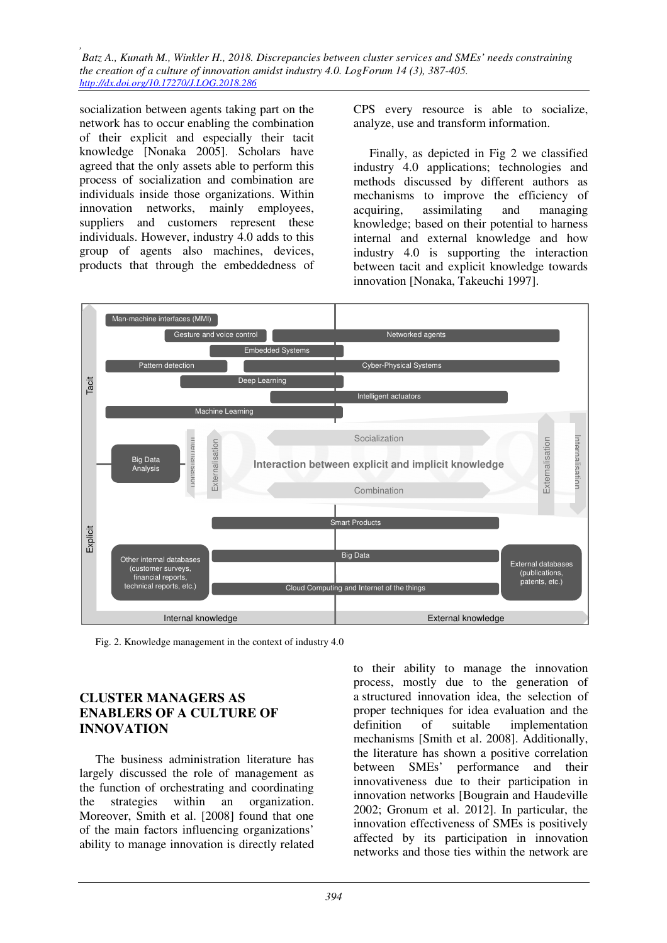socialization between agents taking part on the network has to occur enabling the combination of their explicit and especially their tacit knowledge [Nonaka 2005]. Scholars have agreed that the only assets able to perform this process of socialization and combination are individuals inside those organizations. Within innovation networks, mainly employees, suppliers and customers represent these individuals. However, industry 4.0 adds to this group of agents also machines, devices, products that through the embeddedness of

CPS every resource is able to socialize, analyze, use and transform information.

Finally, as depicted in Fig 2 we classified industry 4.0 applications; technologies and methods discussed by different authors as mechanisms to improve the efficiency of acquiring, assimilating and managing knowledge; based on their potential to harness internal and external knowledge and how industry 4.0 is supporting the interaction between tacit and explicit knowledge towards innovation [Nonaka, Takeuchi 1997].



Fig. 2. Knowledge management in the context of industry 4.0

### **CLUSTER MANAGERS AS ENABLERS OF A CULTURE OF INNOVATION**

The business administration literature has largely discussed the role of management as the function of orchestrating and coordinating the strategies within an organization. Moreover, Smith et al. [2008] found that one of the main factors influencing organizations' ability to manage innovation is directly related to their ability to manage the innovation process, mostly due to the generation of a structured innovation idea, the selection of proper techniques for idea evaluation and the definition of suitable implementation mechanisms [Smith et al. 2008]. Additionally, the literature has shown a positive correlation between SMEs' performance and their innovativeness due to their participation in innovation networks [Bougrain and Haudeville 2002; Gronum et al. 2012]. In particular, the innovation effectiveness of SMEs is positively affected by its participation in innovation networks and those ties within the network are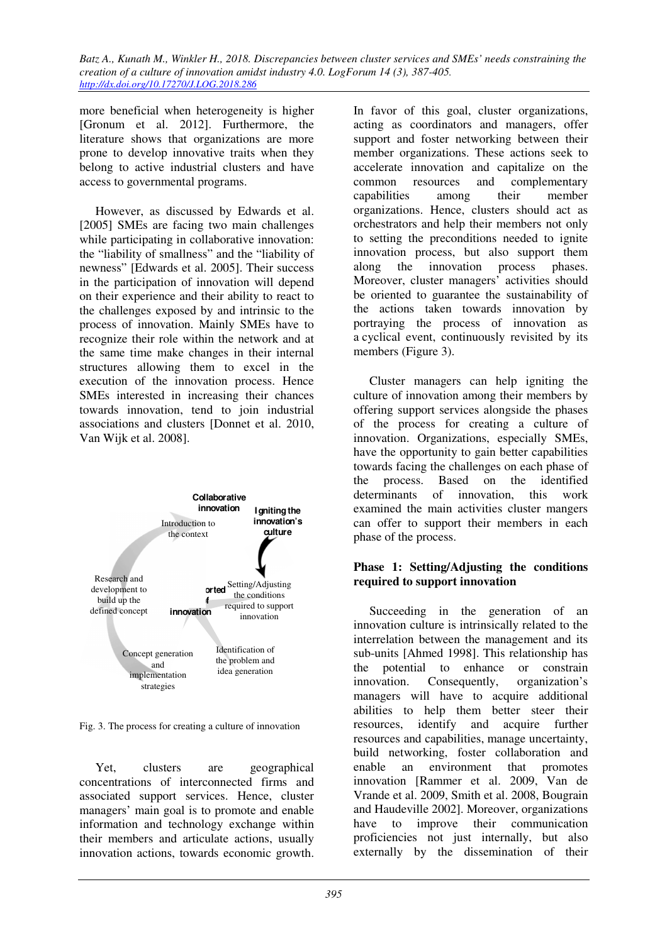more beneficial when heterogeneity is higher [Gronum et al. 2012]. Furthermore, the literature shows that organizations are more prone to develop innovative traits when they belong to active industrial clusters and have access to governmental programs.

However, as discussed by Edwards et al. [2005] SMEs are facing two main challenges while participating in collaborative innovation: the "liability of smallness" and the "liability of newness" [Edwards et al. 2005]. Their success in the participation of innovation will depend on their experience and their ability to react to the challenges exposed by and intrinsic to the process of innovation. Mainly SMEs have to recognize their role within the network and at the same time make changes in their internal structures allowing them to excel in the execution of the innovation process. Hence SMEs interested in increasing their chances towards innovation, tend to join industrial associations and clusters [Donnet et al. 2010, Van Wijk et al. 2008].



Fig. 3. The process for creating a culture of innovation

Yet, clusters are geographical concentrations of interconnected firms and associated support services. Hence, cluster managers' main goal is to promote and enable information and technology exchange within their members and articulate actions, usually innovation actions, towards economic growth.

In favor of this goal, cluster organizations, acting as coordinators and managers, offer support and foster networking between their member organizations. These actions seek to accelerate innovation and capitalize on the common resources and complementary capabilities among their member organizations. Hence, clusters should act as orchestrators and help their members not only to setting the preconditions needed to ignite innovation process, but also support them along the innovation process phases. Moreover, cluster managers' activities should be oriented to guarantee the sustainability of the actions taken towards innovation by portraying the process of innovation as a cyclical event, continuously revisited by its members (Figure 3).

Cluster managers can help igniting the culture of innovation among their members by offering support services alongside the phases of the process for creating a culture of innovation. Organizations, especially SMEs, have the opportunity to gain better capabilities towards facing the challenges on each phase of the process. Based on the identified determinants of innovation, this work examined the main activities cluster mangers can offer to support their members in each phase of the process.

### **Phase 1: Setting/Adjusting the conditions required to support innovation**

Succeeding in the generation of an innovation culture is intrinsically related to the interrelation between the management and its sub-units [Ahmed 1998]. This relationship has the potential to enhance or constrain innovation. Consequently, organization's managers will have to acquire additional abilities to help them better steer their resources, identify and acquire further resources and capabilities, manage uncertainty, build networking, foster collaboration and enable an environment that promotes innovation [Rammer et al. 2009, Van de Vrande et al. 2009, Smith et al. 2008, Bougrain and Haudeville 2002]. Moreover, organizations have to improve their communication proficiencies not just internally, but also externally by the dissemination of their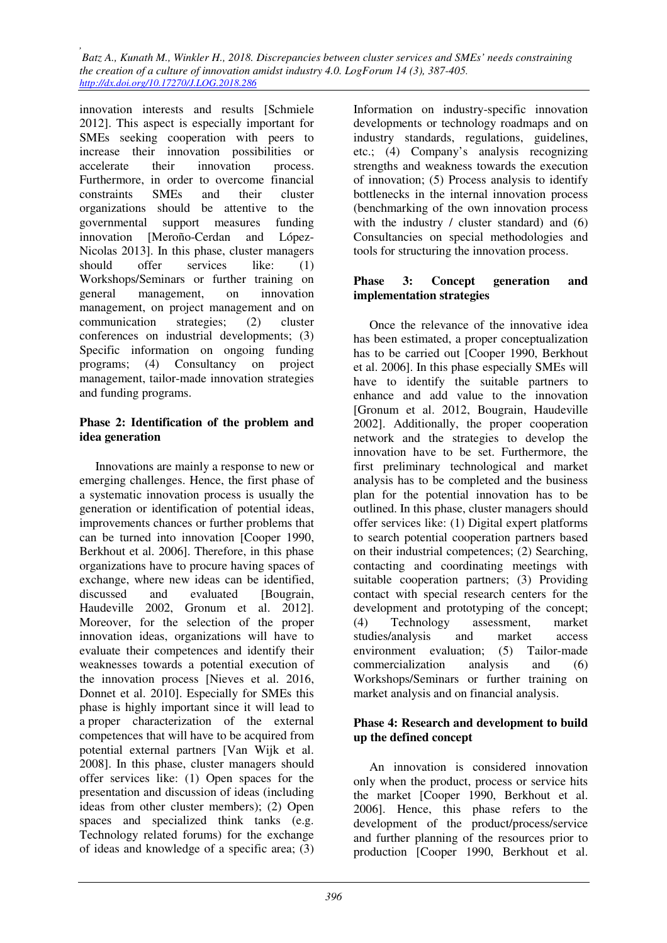innovation interests and results [Schmiele 2012]. This aspect is especially important for SMEs seeking cooperation with peers to increase their innovation possibilities or accelerate their innovation process. Furthermore, in order to overcome financial constraints SMEs and their cluster organizations should be attentive to the governmental support measures funding innovation [Meroño-Cerdan and López-Nicolas 2013]. In this phase, cluster managers should offer services like: (1) Workshops/Seminars or further training on general management, on innovation management, on project management and on communication strategies; (2) cluster conferences on industrial developments; (3) Specific information on ongoing funding programs; (4) Consultancy on project management, tailor-made innovation strategies and funding programs.

#### **Phase 2: Identification of the problem and idea generation**

Innovations are mainly a response to new or emerging challenges. Hence, the first phase of a systematic innovation process is usually the generation or identification of potential ideas, improvements chances or further problems that can be turned into innovation [Cooper 1990, Berkhout et al. 2006]. Therefore, in this phase organizations have to procure having spaces of exchange, where new ideas can be identified, discussed and evaluated [Bougrain, Haudeville 2002, Gronum et al. 2012]. Moreover, for the selection of the proper innovation ideas, organizations will have to evaluate their competences and identify their weaknesses towards a potential execution of the innovation process [Nieves et al. 2016, Donnet et al. 2010]. Especially for SMEs this phase is highly important since it will lead to a proper characterization of the external competences that will have to be acquired from potential external partners [Van Wijk et al. 2008]. In this phase, cluster managers should offer services like: (1) Open spaces for the presentation and discussion of ideas (including ideas from other cluster members); (2) Open spaces and specialized think tanks (e.g. Technology related forums) for the exchange of ideas and knowledge of a specific area; (3)

Information on industry-specific innovation developments or technology roadmaps and on industry standards, regulations, guidelines, etc.; (4) Company's analysis recognizing strengths and weakness towards the execution of innovation; (5) Process analysis to identify bottlenecks in the internal innovation process (benchmarking of the own innovation process with the industry / cluster standard) and (6) Consultancies on special methodologies and tools for structuring the innovation process.

### **Phase 3: Concept generation and implementation strategies**

Once the relevance of the innovative idea has been estimated, a proper conceptualization has to be carried out [Cooper 1990, Berkhout et al. 2006]. In this phase especially SMEs will have to identify the suitable partners to enhance and add value to the innovation [Gronum et al. 2012, Bougrain, Haudeville 2002]. Additionally, the proper cooperation network and the strategies to develop the innovation have to be set. Furthermore, the first preliminary technological and market analysis has to be completed and the business plan for the potential innovation has to be outlined. In this phase, cluster managers should offer services like: (1) Digital expert platforms to search potential cooperation partners based on their industrial competences; (2) Searching, contacting and coordinating meetings with suitable cooperation partners; (3) Providing contact with special research centers for the development and prototyping of the concept; (4) Technology assessment, market studies/analysis and market access environment evaluation; (5) Tailor-made commercialization analysis and (6) Workshops/Seminars or further training on market analysis and on financial analysis.

### **Phase 4: Research and development to build up the defined concept**

An innovation is considered innovation only when the product, process or service hits the market [Cooper 1990, Berkhout et al. 2006]. Hence, this phase refers to the development of the product/process/service and further planning of the resources prior to production [Cooper 1990, Berkhout et al.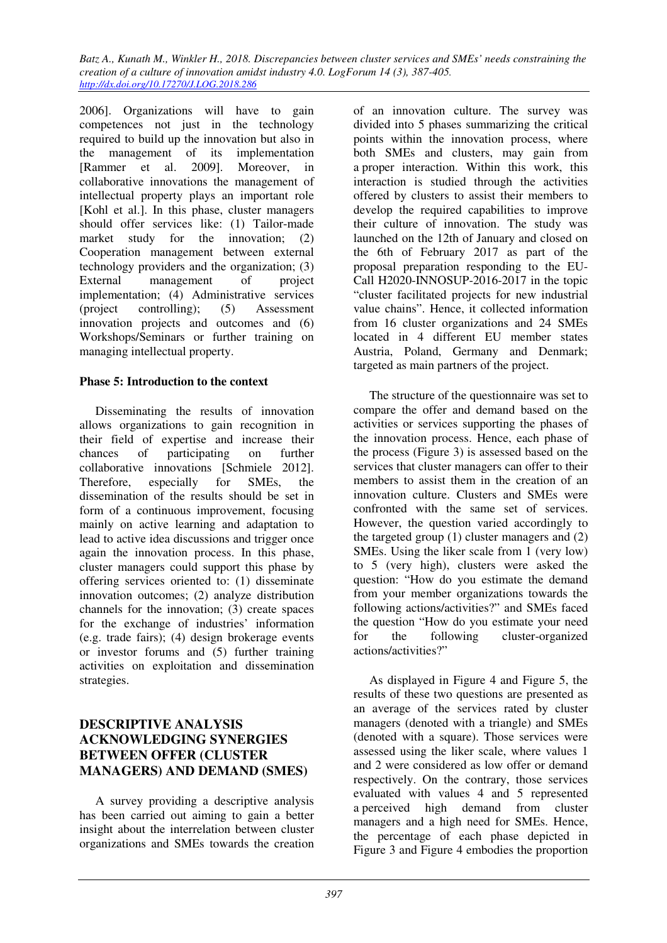2006]. Organizations will have to gain competences not just in the technology required to build up the innovation but also in the management of its implementation [Rammer et al. 2009]. Moreover, in collaborative innovations the management of intellectual property plays an important role [Kohl et al.]. In this phase, cluster managers should offer services like: (1) Tailor-made market study for the innovation; (2) Cooperation management between external technology providers and the organization; (3) External management of project implementation; (4) Administrative services (project controlling); (5) Assessment innovation projects and outcomes and (6) Workshops/Seminars or further training on managing intellectual property.

## **Phase 5: Introduction to the context**

Disseminating the results of innovation allows organizations to gain recognition in their field of expertise and increase their chances of participating on further collaborative innovations [Schmiele 2012]. Therefore, especially for SMEs, the dissemination of the results should be set in form of a continuous improvement, focusing mainly on active learning and adaptation to lead to active idea discussions and trigger once again the innovation process. In this phase, cluster managers could support this phase by offering services oriented to: (1) disseminate innovation outcomes; (2) analyze distribution channels for the innovation; (3) create spaces for the exchange of industries' information (e.g. trade fairs); (4) design brokerage events or investor forums and (5) further training activities on exploitation and dissemination strategies.

### **DESCRIPTIVE ANALYSIS ACKNOWLEDGING SYNERGIES BETWEEN OFFER (CLUSTER MANAGERS) AND DEMAND (SMES)**

A survey providing a descriptive analysis has been carried out aiming to gain a better insight about the interrelation between cluster organizations and SMEs towards the creation of an innovation culture. The survey was divided into 5 phases summarizing the critical points within the innovation process, where both SMEs and clusters, may gain from a proper interaction. Within this work, this interaction is studied through the activities offered by clusters to assist their members to develop the required capabilities to improve their culture of innovation. The study was launched on the 12th of January and closed on the 6th of February 2017 as part of the proposal preparation responding to the EU-Call H2020-INNOSUP-2016-2017 in the topic "cluster facilitated projects for new industrial value chains". Hence, it collected information from 16 cluster organizations and 24 SMEs located in 4 different EU member states Austria, Poland, Germany and Denmark; targeted as main partners of the project.

The structure of the questionnaire was set to compare the offer and demand based on the activities or services supporting the phases of the innovation process. Hence, each phase of the process (Figure 3) is assessed based on the services that cluster managers can offer to their members to assist them in the creation of an innovation culture. Clusters and SMEs were confronted with the same set of services. However, the question varied accordingly to the targeted group (1) cluster managers and (2) SMEs. Using the liker scale from 1 (very low) to 5 (very high), clusters were asked the question: "How do you estimate the demand from your member organizations towards the following actions/activities?" and SMEs faced the question "How do you estimate your need for the following cluster-organized actions/activities?"

As displayed in Figure 4 and Figure 5, the results of these two questions are presented as an average of the services rated by cluster managers (denoted with a triangle) and SMEs (denoted with a square). Those services were assessed using the liker scale, where values 1 and 2 were considered as low offer or demand respectively. On the contrary, those services evaluated with values 4 and 5 represented a perceived high demand from cluster managers and a high need for SMEs. Hence, the percentage of each phase depicted in Figure 3 and Figure 4 embodies the proportion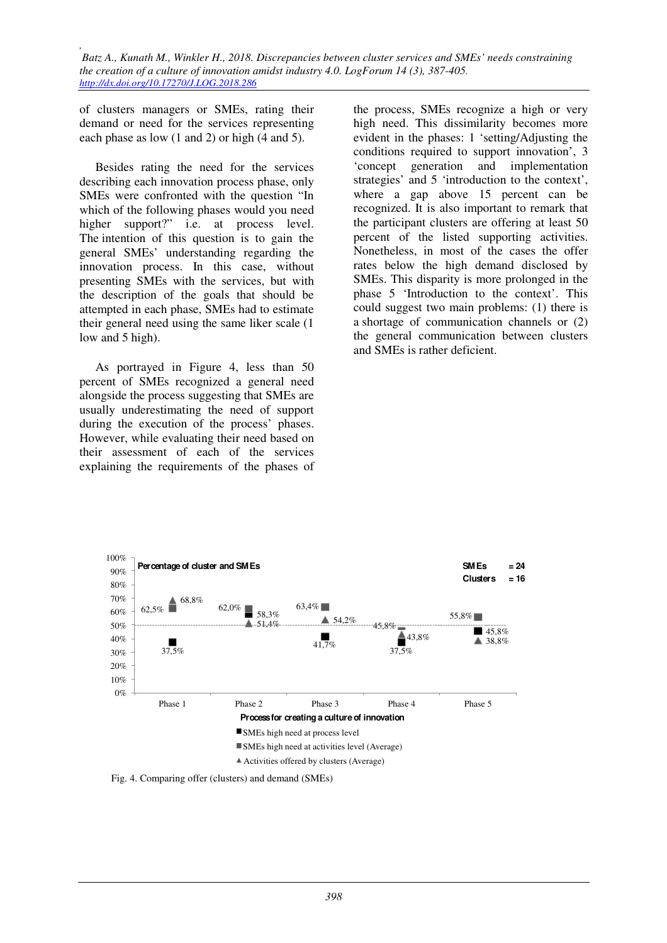of clusters managers or SMEs, rating their demand or need for the services representing each phase as low (1 and 2) or high (4 and 5).

Besides rating the need for the services describing each innovation process phase, only SMEs were confronted with the question "In which of the following phases would you need higher support?" i.e. at process level. The intention of this question is to gain the general SMEs' understanding regarding the innovation process. In this case, without presenting SMEs with the services, but with the description of the goals that should be attempted in each phase, SMEs had to estimate their general need using the same liker scale (1 low and 5 high).

As portrayed in Figure 4, less than 50 percent of SMEs recognized a general need alongside the process suggesting that SMEs are usually underestimating the need of support during the execution of the process' phases. However, while evaluating their need based on their assessment of each of the services explaining the requirements of the phases of the process, SMEs recognize a high or very high need. This dissimilarity becomes more evident in the phases: 1 'setting/Adjusting the conditions required to support innovation', 3 'concept generation and implementation strategies' and 5 'introduction to the context', where a gap above 15 percent can be recognized. It is also important to remark that the participant clusters are offering at least 50 percent of the listed supporting activities. Nonetheless, in most of the cases the offer rates below the high demand disclosed by SMEs. This disparity is more prolonged in the phase 5 'Introduction to the context'. This could suggest two main problems: (1) there is a shortage of communication channels or (2) the general communication between clusters and SMEs is rather deficient.



Fig. 4. Comparing offer (clusters) and demand (SMEs)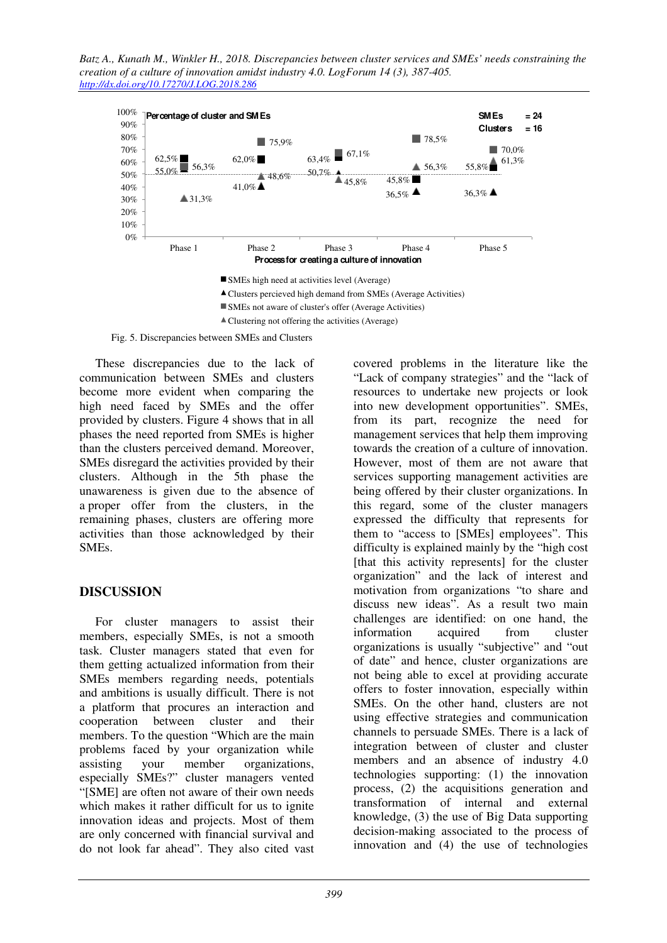*Batz A., Kunath M., Winkler H., 2018. Discrepancies between cluster services and SMEs' needs constraining the creation of a culture of innovation amidst industry 4.0. LogForum 14 (3), 387-405. http://dx.doi.org/10.17270/J.LOG.2018.286* 



Fig. 5. Discrepancies between SMEs and Clusters

These discrepancies due to the lack of communication between SMEs and clusters become more evident when comparing the high need faced by SMEs and the offer provided by clusters. Figure 4 shows that in all phases the need reported from SMEs is higher than the clusters perceived demand. Moreover, SMEs disregard the activities provided by their clusters. Although in the 5th phase the unawareness is given due to the absence of a proper offer from the clusters, in the remaining phases, clusters are offering more activities than those acknowledged by their **SMEs**.

## **DISCUSSION**

For cluster managers to assist their members, especially SMEs, is not a smooth task. Cluster managers stated that even for them getting actualized information from their SMEs members regarding needs, potentials and ambitions is usually difficult. There is not a platform that procures an interaction and cooperation between cluster and their members. To the question "Which are the main problems faced by your organization while assisting your member organizations, especially SMEs?" cluster managers vented "[SME] are often not aware of their own needs which makes it rather difficult for us to ignite innovation ideas and projects. Most of them are only concerned with financial survival and do not look far ahead". They also cited vast covered problems in the literature like the "Lack of company strategies" and the "lack of resources to undertake new projects or look into new development opportunities". SMEs, from its part, recognize the need for management services that help them improving towards the creation of a culture of innovation. However, most of them are not aware that services supporting management activities are being offered by their cluster organizations. In this regard, some of the cluster managers expressed the difficulty that represents for them to "access to [SMEs] employees". This difficulty is explained mainly by the "high cost [that this activity represents] for the cluster organization" and the lack of interest and motivation from organizations "to share and discuss new ideas". As a result two main challenges are identified: on one hand, the information acquired from cluster organizations is usually "subjective" and "out of date" and hence, cluster organizations are not being able to excel at providing accurate offers to foster innovation, especially within SMEs. On the other hand, clusters are not using effective strategies and communication channels to persuade SMEs. There is a lack of integration between of cluster and cluster members and an absence of industry 4.0 technologies supporting: (1) the innovation process, (2) the acquisitions generation and transformation of internal and external knowledge, (3) the use of Big Data supporting decision-making associated to the process of innovation and (4) the use of technologies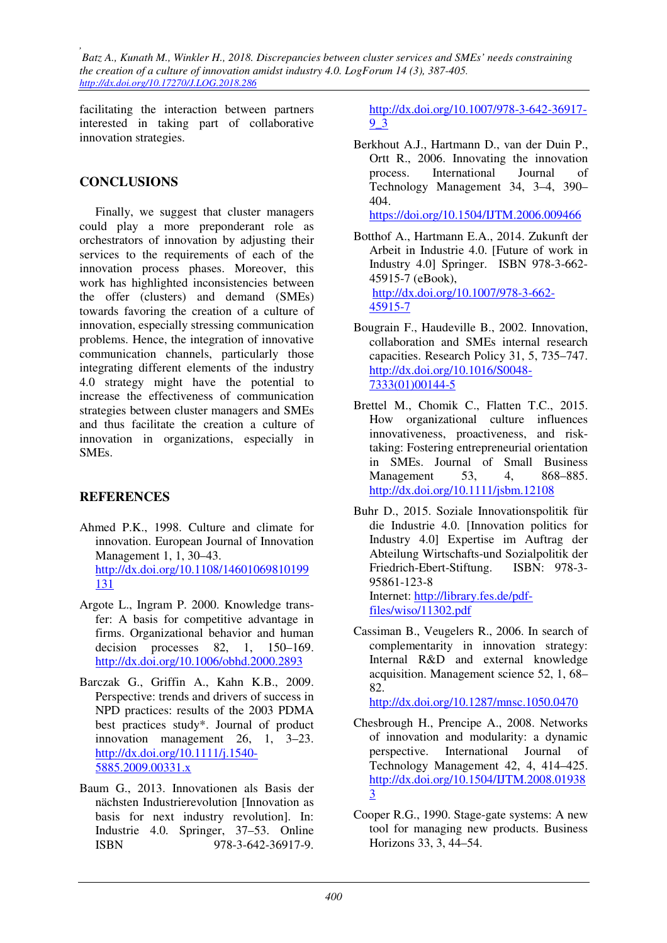facilitating the interaction between partners interested in taking part of collaborative innovation strategies.

# **CONCLUSIONS**

Finally, we suggest that cluster managers could play a more preponderant role as orchestrators of innovation by adjusting their services to the requirements of each of the innovation process phases. Moreover, this work has highlighted inconsistencies between the offer (clusters) and demand (SMEs) towards favoring the creation of a culture of innovation, especially stressing communication problems. Hence, the integration of innovative communication channels, particularly those integrating different elements of the industry 4.0 strategy might have the potential to increase the effectiveness of communication strategies between cluster managers and SMEs and thus facilitate the creation a culture of innovation in organizations, especially in SMEs.

## **REFERENCES**

- Ahmed P.K., 1998. Culture and climate for innovation. European Journal of Innovation Management 1, 1, 30–43. http://dx.doi.org/10.1108/14601069810199 131
- Argote L., Ingram P. 2000. Knowledge transfer: A basis for competitive advantage in firms. Organizational behavior and human decision processes 82, 1, 150–169. http://dx.doi.org/10.1006/obhd.2000.2893
- Barczak G., Griffin A., Kahn K.B., 2009. Perspective: trends and drivers of success in NPD practices: results of the 2003 PDMA best practices study\*. Journal of product innovation management 26, 1, 3–23. http://dx.doi.org/10.1111/j.1540- 5885.2009.00331.x
- Baum G., 2013. Innovationen als Basis der nächsten Industrierevolution [Innovation as basis for next industry revolution]. In: Industrie 4.0. Springer, 37–53. Online ISBN 978-3-642-36917-9.

http://dx.doi.org/10.1007/978-3-642-36917- 9\_3

Berkhout A.J., Hartmann D., van der Duin P., Ortt R., 2006. Innovating the innovation process. International Journal of Technology Management 34, 3–4, 390– 404.

https://doi.org/10.1504/IJTM.2006.009466

- Botthof A., Hartmann E.A., 2014. Zukunft der Arbeit in Industrie 4.0. [Future of work in Industry 4.0] Springer. ISBN 978-3-662- 45915-7 (eBook), http://dx.doi.org/10.1007/978-3-662- 45915-7
- Bougrain F., Haudeville B., 2002. Innovation, collaboration and SMEs internal research capacities. Research Policy 31, 5, 735–747. http://dx.doi.org/10.1016/S0048- 7333(01)00144-5
- Brettel M., Chomik C., Flatten T.C., 2015. How organizational culture influences innovativeness, proactiveness, and risktaking: Fostering entrepreneurial orientation in SMEs. Journal of Small Business Management 53, 4, 868–885. http://dx.doi.org/10.1111/jsbm.12108
- Buhr D., 2015. Soziale Innovationspolitik für die Industrie 4.0. [Innovation politics for Industry 4.0] Expertise im Auftrag der Abteilung Wirtschafts-und Sozialpolitik der Friedrich-Ebert-Stiftung. ISBN: 978-3- 95861-123-8 Internet: http://library.fes.de/pdf-

files/wiso/11302.pdf

Cassiman B., Veugelers R., 2006. In search of complementarity in innovation strategy: Internal R&D and external knowledge acquisition. Management science 52, 1, 68– 82.

http://dx.doi.org/10.1287/mnsc.1050.0470

- Chesbrough H., Prencipe A., 2008. Networks of innovation and modularity: a dynamic perspective. International Journal of Technology Management 42, 4, 414–425. http://dx.doi.org/10.1504/IJTM.2008.01938 3
- Cooper R.G., 1990. Stage-gate systems: A new tool for managing new products. Business Horizons 33, 3, 44–54.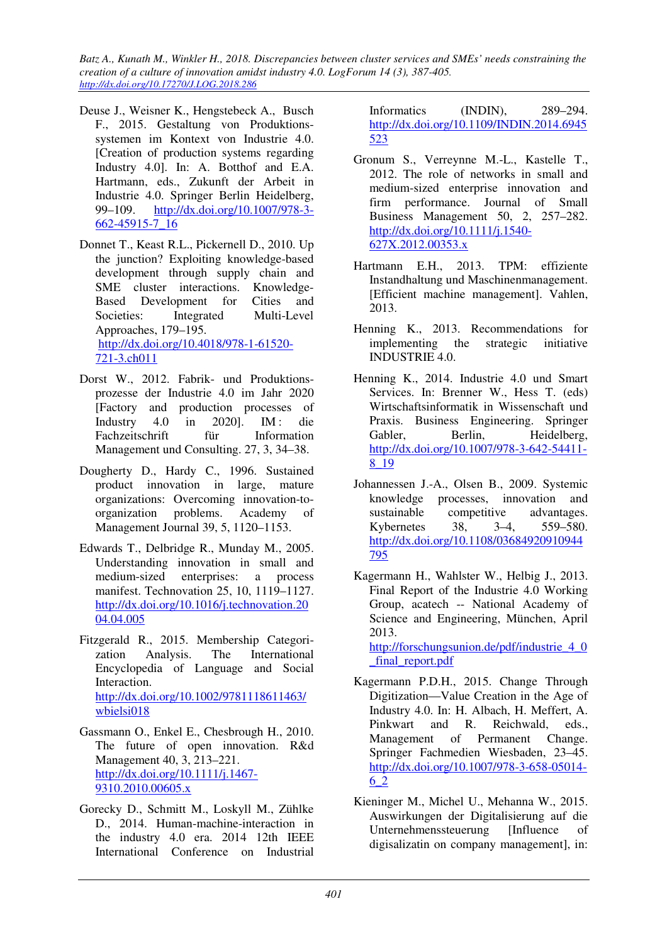- Deuse J., Weisner K., Hengstebeck A., Busch F., 2015. Gestaltung von Produktionssystemen im Kontext von Industrie 4.0. [Creation of production systems regarding Industry 4.0]. In: A. Botthof and E.A. Hartmann, eds., Zukunft der Arbeit in Industrie 4.0. Springer Berlin Heidelberg, 99–109. http://dx.doi.org/10.1007/978-3- 662-45915-7\_16
- Donnet T., Keast R.L., Pickernell D., 2010. Up the junction? Exploiting knowledge-based development through supply chain and SME cluster interactions. Knowledge-Based Development for Cities and Societies: Integrated Multi-Level Approaches, 179–195. http://dx.doi.org/10.4018/978-1-61520- 721-3.ch011
- Dorst W., 2012. Fabrik- und Produktionsprozesse der Industrie 4.0 im Jahr 2020 [Factory and production processes of Industry 4.0 in 2020]. IM : die Fachzeitschrift für Information Management und Consulting. 27, 3, 34–38.
- Dougherty D., Hardy C., 1996. Sustained product innovation in large, mature organizations: Overcoming innovation-toorganization problems. Academy of Management Journal 39, 5, 1120–1153.
- Edwards T., Delbridge R., Munday M., 2005. Understanding innovation in small and medium-sized enterprises: a process manifest. Technovation 25, 10, 1119–1127. http://dx.doi.org/10.1016/j.technovation.20 04.04.005
- Fitzgerald R., 2015. Membership Categorization Analysis. The International Encyclopedia of Language and Social Interaction. http://dx.doi.org/10.1002/9781118611463/ wbielsi018
- Gassmann O., Enkel E., Chesbrough H., 2010. The future of open innovation. R&d Management 40, 3, 213–221. http://dx.doi.org/10.1111/j.1467- 9310.2010.00605.x
- Gorecky D., Schmitt M., Loskyll M., Zühlke D., 2014. Human-machine-interaction in the industry 4.0 era. 2014 12th IEEE International Conference on Industrial

Informatics (INDIN), 289–294. http://dx.doi.org/10.1109/INDIN.2014.6945 523

- Gronum S., Verreynne M.-L., Kastelle T., 2012. The role of networks in small and medium-sized enterprise innovation and firm performance. Journal of Small Business Management 50, 2, 257–282. http://dx.doi.org/10.1111/j.1540- 627X.2012.00353.x
- Hartmann E.H., 2013. TPM: effiziente Instandhaltung und Maschinenmanagement. [Efficient machine management]. Vahlen, 2013.
- Henning K., 2013. Recommendations for implementing the strategic initiative INDUSTRIE 4.0.
- Henning K., 2014. Industrie 4.0 und Smart Services. In: Brenner W., Hess T. (eds) Wirtschaftsinformatik in Wissenschaft und Praxis. Business Engineering. Springer Gabler, Berlin, Heidelberg, http://dx.doi.org/10.1007/978-3-642-54411- 8\_19
- Johannessen J.-A., Olsen B., 2009. Systemic knowledge processes, innovation and sustainable competitive advantages. Kybernetes 38, 3–4, 559–580. http://dx.doi.org/10.1108/03684920910944 795
- Kagermann H., Wahlster W., Helbig J., 2013. Final Report of the Industrie 4.0 Working Group, acatech -- National Academy of Science and Engineering, München, April 2013. http://forschungsunion.de/pdf/industrie 4\_0

final report.pdf

- Kagermann P.D.H., 2015. Change Through Digitization—Value Creation in the Age of Industry 4.0. In: H. Albach, H. Meffert, A.<br>Pinkwart and R. Reichwald, eds., and R. Reichwald, Management of Permanent Change. Springer Fachmedien Wiesbaden, 23–45. http://dx.doi.org/10.1007/978-3-658-05014- 6\_2
- Kieninger M., Michel U., Mehanna W., 2015. Auswirkungen der Digitalisierung auf die Unternehmenssteuerung [Influence of digisalizatin on company management], in: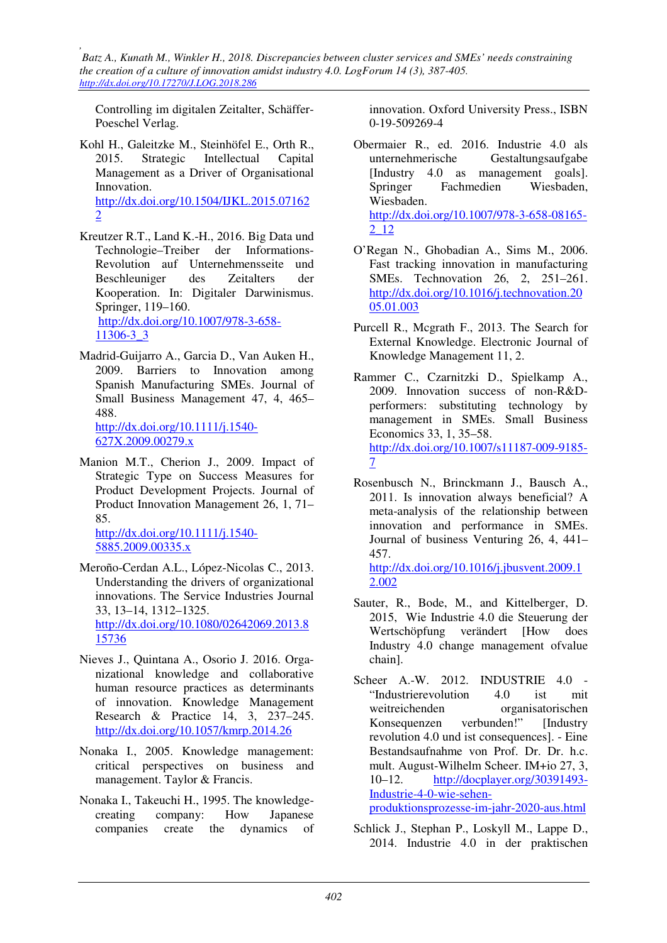Controlling im digitalen Zeitalter, Schäffer-Poeschel Verlag.

Kohl H., Galeitzke M., Steinhöfel E., Orth R., 2015. Strategic Intellectual Capital Management as a Driver of Organisational Innovation. http://dx.doi.org/10.1504/IJKL.2015.07162 2

- Kreutzer R.T., Land K.-H., 2016. Big Data und Technologie–Treiber der Informations-Revolution auf Unternehmensseite und Beschleuniger des Zeitalters der Kooperation. In: Digitaler Darwinismus. Springer, 119–160. http://dx.doi.org/10.1007/978-3-658- 11306-3\_3
- Madrid-Guijarro A., Garcia D., Van Auken H., 2009. Barriers to Innovation among Spanish Manufacturing SMEs. Journal of Small Business Management 47, 4, 465– 488.

http://dx.doi.org/10.1111/j.1540- 627X.2009.00279.x

Manion M.T., Cherion J., 2009. Impact of Strategic Type on Success Measures for Product Development Projects. Journal of Product Innovation Management 26, 1, 71– 85.

http://dx.doi.org/10.1111/j.1540- 5885.2009.00335.x

- Meroño-Cerdan A.L., López-Nicolas C., 2013. Understanding the drivers of organizational innovations. The Service Industries Journal 33, 13–14, 1312–1325. http://dx.doi.org/10.1080/02642069.2013.8 15736
- Nieves J., Quintana A., Osorio J. 2016. Organizational knowledge and collaborative human resource practices as determinants of innovation. Knowledge Management Research & Practice 14, 3, 237–245. http://dx.doi.org/10.1057/kmrp.2014.26
- Nonaka I., 2005. Knowledge management: critical perspectives on business and management. Taylor & Francis.
- Nonaka I., Takeuchi H., 1995. The knowledgecreating company: How Japanese companies create the dynamics of

innovation. Oxford University Press., ISBN 0-19-509269-4

- Obermaier R., ed. 2016. Industrie 4.0 als unternehmerische Gestaltungsaufgabe [Industry 4.0 as management goals]. Springer Fachmedien Wiesbaden, Wiesbaden. http://dx.doi.org/10.1007/978-3-658-08165- 2\_12
- O'Regan N., Ghobadian A., Sims M., 2006. Fast tracking innovation in manufacturing SMEs. Technovation 26, 2, 251–261. http://dx.doi.org/10.1016/j.technovation.20 05.01.003
- Purcell R., Mcgrath F., 2013. The Search for External Knowledge. Electronic Journal of Knowledge Management 11, 2.
- Rammer C., Czarnitzki D., Spielkamp A., 2009. Innovation success of non-R&Dperformers: substituting technology by management in SMEs. Small Business Economics 33, 1, 35–58. http://dx.doi.org/10.1007/s11187-009-9185- 7
- Rosenbusch N., Brinckmann J., Bausch A., 2011. Is innovation always beneficial? A meta-analysis of the relationship between innovation and performance in SMEs. Journal of business Venturing 26, 4, 441– 457. http://dx.doi.org/10.1016/j.jbusvent.2009.1

2.002

- Sauter, R., Bode, M., and Kittelberger, D. 2015, Wie Industrie 4.0 die Steuerung der Wertschöpfung verändert [How does Industry 4.0 change management ofvalue chain].
- Scheer A.-W. 2012. INDUSTRIE 4.0 -"Industrierevolution 4.0 ist mit weitreichenden organisatorischen Konsequenzen verbunden!" [Industry revolution 4.0 und ist consequences]. - Eine Bestandsaufnahme von Prof. Dr. Dr. h.c. mult. August-Wilhelm Scheer. IM+io 27, 3, 10–12. http://docplayer.org/30391493- Industrie-4-0-wie-sehenproduktionsprozesse-im-jahr-2020-aus.html
- Schlick J., Stephan P., Loskyll M., Lappe D., 2014. Industrie 4.0 in der praktischen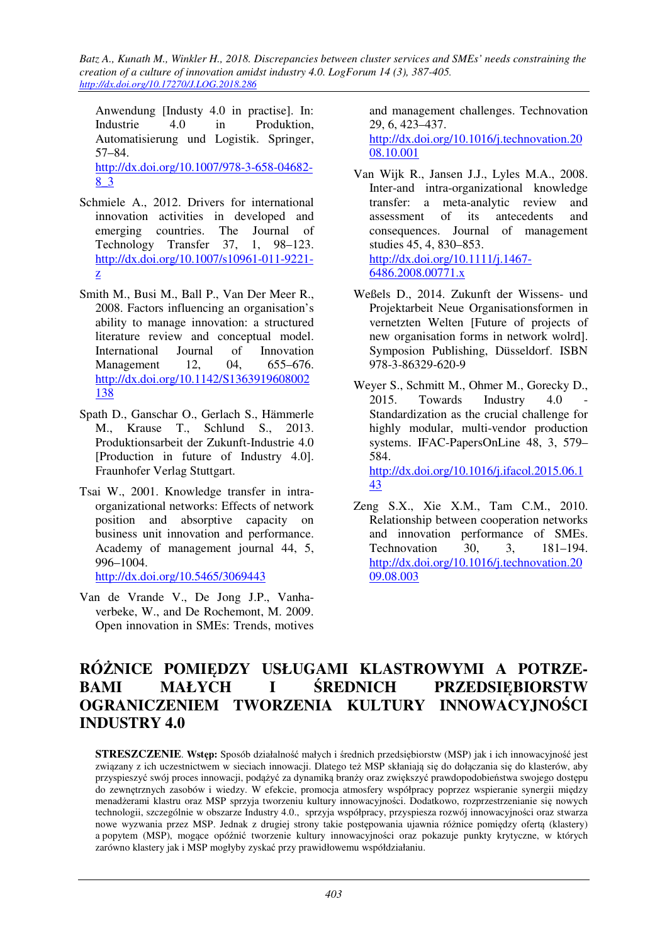Anwendung [Industy 4.0 in practise]. In: Industrie 4.0 in Produktion, Automatisierung und Logistik. Springer, 57–84. http://dx.doi.org/10.1007/978-3-658-04682- 8\_3

- Schmiele A., 2012. Drivers for international innovation activities in developed and emerging countries. The Journal of Technology Transfer 37, 1, 98–123. http://dx.doi.org/10.1007/s10961-011-9221 z
- Smith M., Busi M., Ball P., Van Der Meer R., 2008. Factors influencing an organisation's ability to manage innovation: a structured literature review and conceptual model.<br>International Journal of Innovation International Journal of Innovation Management 12, 04, 655–676. http://dx.doi.org/10.1142/S1363919608002 138
- Spath D., Ganschar O., Gerlach S., Hämmerle M., Krause T., Schlund S., 2013. Produktionsarbeit der Zukunft-Industrie 4.0 [Production in future of Industry 4.0]. Fraunhofer Verlag Stuttgart.
- Tsai W., 2001. Knowledge transfer in intraorganizational networks: Effects of network position and absorptive capacity on business unit innovation and performance. Academy of management journal 44, 5, 996–1004.

http://dx.doi.org/10.5465/3069443

Van de Vrande V., De Jong J.P., Vanhaverbeke, W., and De Rochemont, M. 2009. Open innovation in SMEs: Trends, motives and management challenges. Technovation 29, 6, 423–437. http://dx.doi.org/10.1016/j.technovation.20

08.10.001

- Van Wijk R., Jansen J.J., Lyles M.A., 2008. Inter-and intra-organizational knowledge transfer: a meta-analytic review and assessment of its antecedents and consequences. Journal of management studies 45, 4, 830–853. http://dx.doi.org/10.1111/j.1467- 6486.2008.00771.x
- Weßels D., 2014. Zukunft der Wissens- und Projektarbeit Neue Organisationsformen in vernetzten Welten [Future of projects of new organisation forms in network wolrd]. Symposion Publishing, Düsseldorf. ISBN 978-3-86329-620-9
- Weyer S., Schmitt M., Ohmer M., Gorecky D.,  $2015.$  Towards Industry  $4.0$ Standardization as the crucial challenge for highly modular, multi-vendor production systems. IFAC-PapersOnLine 48, 3, 579– 584. http://dx.doi.org/10.1016/j.ifacol.2015.06.1 43
- Zeng S.X., Xie X.M., Tam C.M., 2010. Relationship between cooperation networks and innovation performance of SMEs. Technovation 30, 3, 181–194. http://dx.doi.org/10.1016/j.technovation.20 09.08.003

# **RÓŻNICE POMIĘDZY USŁUGAMI KLASTROWYMI A POTRZE-BAMI MAŁYCH I ŚREDNICH PRZEDSIĘBIORSTW OGRANICZENIEM TWORZENIA KULTURY INNOWACYJNOŚCI INDUSTRY 4.0**

**STRESZCZENIE**. **Wstęp:** Sposób działalność małych i średnich przedsiębiorstw (MSP) jak i ich innowacyjność jest związany z ich uczestnictwem w sieciach innowacji. Dlatego też MSP skłaniają się do dołączania się do klasterów, aby przyspieszyć swój proces innowacji, podążyć za dynamiką branży oraz zwiększyć prawdopodobieństwa swojego dostępu do zewnętrznych zasobów i wiedzy. W efekcie, promocja atmosfery współpracy poprzez wspieranie synergii między menadżerami klastru oraz MSP sprzyja tworzeniu kultury innowacyjności. Dodatkowo, rozprzestrzenianie się nowych technologii, szczególnie w obszarze Industry 4.0., sprzyja współpracy, przyspiesza rozwój innowacyjności oraz stwarza nowe wyzwania przez MSP. Jednak z drugiej strony takie postępowania ujawnia różnice pomiędzy ofertą (klastery) a popytem (MSP), mogące opóźnić tworzenie kultury innowacyjności oraz pokazuje punkty krytyczne, w których zarówno klastery jak i MSP mogłyby zyskać przy prawidłowemu współdziałaniu.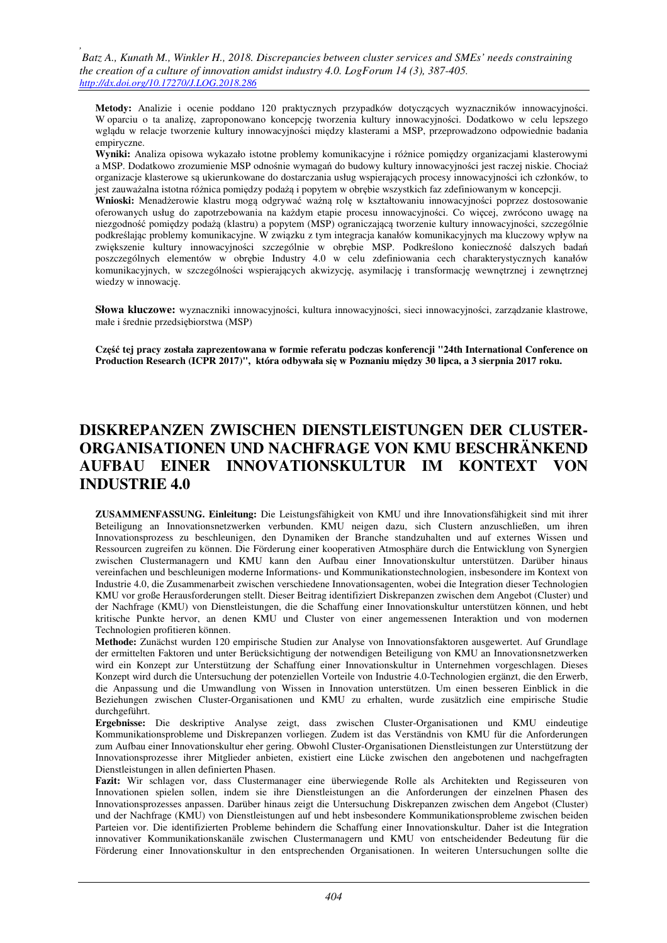*,* 

**Metody:** Analizie i ocenie poddano 120 praktycznych przypadków dotyczących wyznaczników innowacyjności. W oparciu o ta analizę, zaproponowano koncepcję tworzenia kultury innowacyjności. Dodatkowo w celu lepszego wglądu w relacje tworzenie kultury innowacyjności między klasterami a MSP, przeprowadzono odpowiednie badania empiryczne.

**Wyniki:** Analiza opisowa wykazało istotne problemy komunikacyjne i różnice pomiędzy organizacjami klasterowymi a MSP. Dodatkowo zrozumienie MSP odnośnie wymagań do budowy kultury innowacyjności jest raczej niskie. Chociaż organizacje klasterowe są ukierunkowane do dostarczania usług wspierających procesy innowacyjności ich członków, to jest zauważalna istotna różnica pomiędzy podażą i popytem w obrębie wszystkich faz zdefiniowanym w koncepcji.

**Wnioski:** Menadżerowie klastru mogą odgrywać ważną rolę w kształtowaniu innowacyjności poprzez dostosowanie oferowanych usług do zapotrzebowania na każdym etapie procesu innowacyjności. Co więcej, zwrócono uwagę na niezgodność pomiędzy podażą (klastru) a popytem (MSP) ograniczającą tworzenie kultury innowacyjności, szczególnie podkreślając problemy komunikacyjne. W związku z tym integracja kanałów komunikacyjnych ma kluczowy wpływ na zwiększenie kultury innowacyjności szczególnie w obrębie MSP. Podkreślono konieczność dalszych badań poszczególnych elementów w obrębie Industry 4.0 w celu zdefiniowania cech charakterystycznych kanałów komunikacyjnych, w szczególności wspierających akwizycję, asymilację i transformację wewnętrznej i zewnętrznej wiedzy w innowację.

**Słowa kluczowe:** wyznaczniki innowacyjności, kultura innowacyjności, sieci innowacyjności, zarządzanie klastrowe, małe i średnie przedsiębiorstwa (MSP)

**Część tej pracy została zaprezentowana w formie referatu podczas konferencji "24th International Conference on Production Research (ICPR 2017)", która odbywała się w Poznaniu między 30 lipca, a 3 sierpnia 2017 roku.** 

# **DISKREPANZEN ZWISCHEN DIENSTLEISTUNGEN DER CLUSTER-ORGANISATIONEN UND NACHFRAGE VON KMU BESCHRÄNKEND AUFBAU EINER INNOVATIONSKULTUR IM KONTEXT VON INDUSTRIE 4.0**

**ZUSAMMENFASSUNG. Einleitung:** Die Leistungsfähigkeit von KMU und ihre Innovationsfähigkeit sind mit ihrer Beteiligung an Innovationsnetzwerken verbunden. KMU neigen dazu, sich Clustern anzuschließen, um ihren Innovationsprozess zu beschleunigen, den Dynamiken der Branche standzuhalten und auf externes Wissen und Ressourcen zugreifen zu können. Die Förderung einer kooperativen Atmosphäre durch die Entwicklung von Synergien zwischen Clustermanagern und KMU kann den Aufbau einer Innovationskultur unterstützen. Darüber hinaus vereinfachen und beschleunigen moderne Informations- und Kommunikationstechnologien, insbesondere im Kontext von Industrie 4.0, die Zusammenarbeit zwischen verschiedene Innovationsagenten, wobei die Integration dieser Technologien KMU vor große Herausforderungen stellt. Dieser Beitrag identifiziert Diskrepanzen zwischen dem Angebot (Cluster) und der Nachfrage (KMU) von Dienstleistungen, die die Schaffung einer Innovationskultur unterstützen können, und hebt kritische Punkte hervor, an denen KMU und Cluster von einer angemessenen Interaktion und von modernen Technologien profitieren können.

**Methode:** Zunächst wurden 120 empirische Studien zur Analyse von Innovationsfaktoren ausgewertet. Auf Grundlage der ermittelten Faktoren und unter Berücksichtigung der notwendigen Beteiligung von KMU an Innovationsnetzwerken wird ein Konzept zur Unterstützung der Schaffung einer Innovationskultur in Unternehmen vorgeschlagen. Dieses Konzept wird durch die Untersuchung der potenziellen Vorteile von Industrie 4.0-Technologien ergänzt, die den Erwerb, die Anpassung und die Umwandlung von Wissen in Innovation unterstützen. Um einen besseren Einblick in die Beziehungen zwischen Cluster-Organisationen und KMU zu erhalten, wurde zusätzlich eine empirische Studie durchgeführt.

**Ergebnisse:** Die deskriptive Analyse zeigt, dass zwischen Cluster-Organisationen und KMU eindeutige Kommunikationsprobleme und Diskrepanzen vorliegen. Zudem ist das Verständnis von KMU für die Anforderungen zum Aufbau einer Innovationskultur eher gering. Obwohl Cluster-Organisationen Dienstleistungen zur Unterstützung der Innovationsprozesse ihrer Mitglieder anbieten, existiert eine Lücke zwischen den angebotenen und nachgefragten Dienstleistungen in allen definierten Phasen.

**Fazit:** Wir schlagen vor, dass Clustermanager eine überwiegende Rolle als Architekten und Regisseuren von Innovationen spielen sollen, indem sie ihre Dienstleistungen an die Anforderungen der einzelnen Phasen des Innovationsprozesses anpassen. Darüber hinaus zeigt die Untersuchung Diskrepanzen zwischen dem Angebot (Cluster) und der Nachfrage (KMU) von Dienstleistungen auf und hebt insbesondere Kommunikationsprobleme zwischen beiden Parteien vor. Die identifizierten Probleme behindern die Schaffung einer Innovationskultur. Daher ist die Integration innovativer Kommunikationskanäle zwischen Clustermanagern und KMU von entscheidender Bedeutung für die Förderung einer Innovationskultur in den entsprechenden Organisationen. In weiteren Untersuchungen sollte die